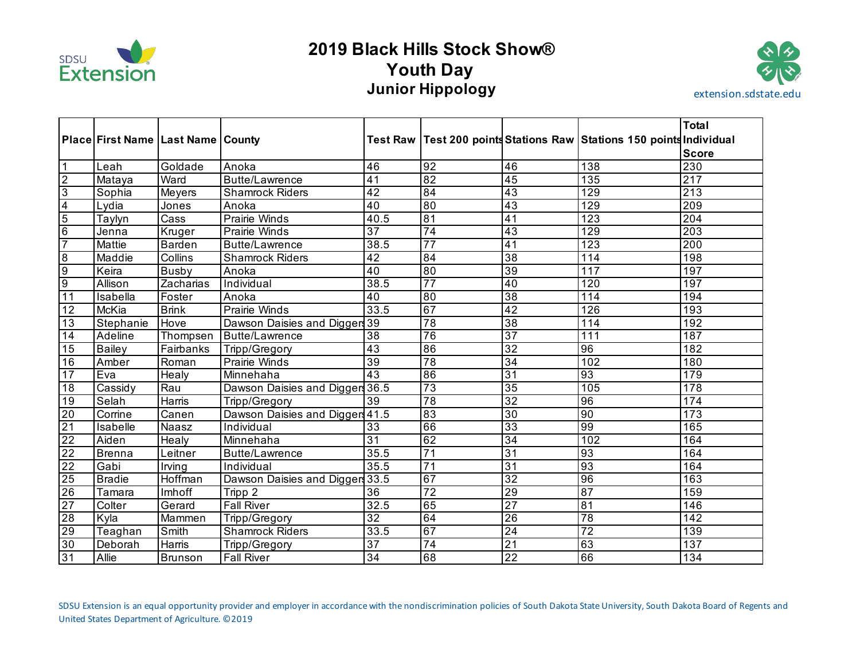

# **2019 Black Hills Stock Show® Youth Day Junior Hippology extension.sdstate.edu**



|                                                                                     |                                       |                |                                 |                 |                 |                 |                                                                          | <b>Total</b>     |
|-------------------------------------------------------------------------------------|---------------------------------------|----------------|---------------------------------|-----------------|-----------------|-----------------|--------------------------------------------------------------------------|------------------|
|                                                                                     | Place First Name   Last Name   County |                |                                 |                 |                 |                 | Test Raw   Test 200 points Stations Raw   Stations 150 points Individual |                  |
|                                                                                     |                                       |                |                                 |                 |                 |                 |                                                                          | <b>Score</b>     |
| $\overline{1}$                                                                      | Leah                                  | Goldade        | Anoka                           | 46              | 92              | 46              | 138                                                                      | 230              |
|                                                                                     | Mataya                                | Ward           | Butte/Lawrence                  | $\overline{41}$ | 82              | $\overline{45}$ | 135                                                                      | $\overline{217}$ |
| $\frac{1}{2}$ $\frac{1}{2}$ $\frac{1}{2}$ $\frac{1}{2}$ $\frac{1}{2}$ $\frac{1}{2}$ | Sophia                                | Meyers         | <b>Shamrock Riders</b>          | $\overline{42}$ | $\overline{84}$ | $\overline{43}$ | $\overline{129}$                                                         | $\overline{213}$ |
|                                                                                     | Lydia                                 | Jones          | Anoka                           | 40              | 80              | $\overline{43}$ | 129                                                                      | $\overline{209}$ |
|                                                                                     | Taylyn                                | Cass           | <b>Prairie Winds</b>            | 40.5            | 81              | $\overline{41}$ | $\overline{123}$                                                         | $\overline{204}$ |
|                                                                                     | Jenna                                 | Kruger         | Prairie Winds                   | $\overline{37}$ | $\overline{74}$ | 43              | 129                                                                      | 203              |
|                                                                                     | Mattie                                | Barden         | Butte/Lawrence                  | 38.5            | $\overline{77}$ | $\overline{41}$ | $\overline{123}$                                                         | $\overline{200}$ |
| $\frac{8}{9}$                                                                       | Maddie                                | Collins        | <b>Shamrock Riders</b>          | 42              | 84              | $\overline{38}$ | 114                                                                      | 198              |
|                                                                                     | Keira                                 | <b>Busby</b>   | Anoka                           | $\overline{40}$ | 80              | 39              | 117                                                                      | 197              |
|                                                                                     | Allison                               | Zacharias      | Individual                      | 38.5            | $\overline{77}$ | 40              | 120                                                                      | 197              |
| 11                                                                                  | Isabella                              | Foster         | Anoka                           | 40              | 80              | $\overline{38}$ | 114                                                                      | 194              |
| 12                                                                                  | McKia                                 | <b>Brink</b>   | Prairie Winds                   | 33.5            | 67              | 42              | 126                                                                      | 193              |
| 13                                                                                  | Stephanie                             | Hove           | Dawson Daisies and Digger 39    |                 | 78              | 38              | 114                                                                      | 192              |
| 14                                                                                  | Adeline                               | Thompsen       | Butte/Lawrence                  | 38              | 76              | $\overline{37}$ | 111                                                                      | 187              |
| 15                                                                                  | <b>Bailey</b>                         | Fairbanks      | Tripp/Gregory                   | $\overline{43}$ | $\overline{86}$ | $\overline{32}$ | 96                                                                       | 182              |
| 16                                                                                  | Amber                                 | Roman          | Prairie Winds                   | $\overline{39}$ | 78              | $\overline{34}$ | 102                                                                      | 180              |
| 17                                                                                  | Eva                                   | Healy          | Minnehaha                       | 43              | 86              | $\overline{31}$ | 93                                                                       | 179              |
| 18                                                                                  | Cassidy                               | Rau            | Dawson Daisies and Diggers 36.5 |                 | $\overline{73}$ | 35              | 105                                                                      | 178              |
| 19                                                                                  | Selah                                 | Harris         | Tripp/Gregory                   | 39              | $\overline{78}$ | $\overline{32}$ | 96                                                                       | 174              |
| $\frac{20}{21}$                                                                     | Corrine                               | Canen          | Dawson Daisies and Diggers 41.5 |                 | $\overline{83}$ | 30              | 90                                                                       | 173              |
|                                                                                     | Isabelle                              | Naasz          | Individual                      | $\overline{33}$ | 66              | $\overline{33}$ | 99                                                                       | 165              |
| $\frac{1}{22}$                                                                      | Aiden                                 | Healy          | Minnehaha                       | $\overline{31}$ | 62              | $\overline{34}$ | 102                                                                      | 164              |
|                                                                                     | <b>Brenna</b>                         | Leitner        | Butte/Lawrence                  | 35.5            | $\overline{71}$ | $\overline{31}$ | 93                                                                       | 164              |
| $\overline{22}$                                                                     | Gabi                                  | Irving         | Individual                      | 35.5            | $\overline{71}$ | $\overline{31}$ | 93                                                                       | 164              |
| 25                                                                                  | <b>Bradie</b>                         | <b>Hoffman</b> | Dawson Daisies and Digger 33.5  |                 | 67              | $\overline{32}$ | 96                                                                       | 163              |
|                                                                                     | Tamara                                | Imhoff         | Tripp 2                         | 36              | $\overline{72}$ | 29              | 87                                                                       | 159              |
|                                                                                     | Colter                                | Gerard         | <b>Fall River</b>               | 32.5            | 65              | $\overline{27}$ | 81                                                                       | 146              |
| $\begin{array}{r}\n 26 \\ \hline\n 27 \\ \hline\n 28\n \end{array}$                 | Kyla                                  | Mammen         | Tripp/Gregory                   | $\overline{32}$ | 64              | $\overline{26}$ | 78                                                                       | $\overline{142}$ |
| 29                                                                                  | Teaghan                               | Smith          | <b>Shamrock Riders</b>          | 33.5            | 67              | 24              | $\overline{72}$                                                          | 139              |
| 30                                                                                  | Deborah                               | Harris         | Tripp/Gregory                   | $\overline{37}$ | 74              | $\overline{21}$ | 63                                                                       | 137              |
| 31                                                                                  | Allie                                 | <b>Brunson</b> | <b>Fall River</b>               | $\overline{34}$ | 68              | $\overline{22}$ | 66                                                                       | 134              |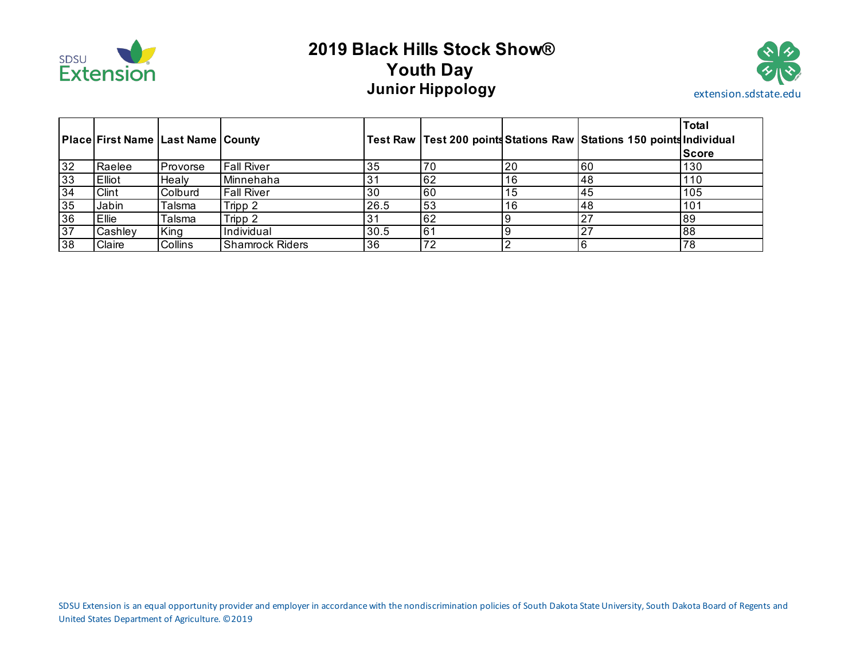

# **2019 Black Hills Stock Show® Youth Day Junior Hippology extension.sdstate.edu**



|    | Place First Name   Last Name   County |                |                        |      |           |    | Test Raw   Test 200 points Stations Raw   Stations 150 points Individual | <b>Total</b><br><b>Score</b> |
|----|---------------------------------------|----------------|------------------------|------|-----------|----|--------------------------------------------------------------------------|------------------------------|
| 32 | Raelee                                | Provorse       | <b>Fall River</b>      | 35   | 70        | 20 | 60                                                                       | 130                          |
| 33 | Elliot                                | Healv          | Minnehaha              |      | 62        | 16 | 148                                                                      | 110                          |
| 34 | Clint                                 | Colburd        | <b>Fall River</b>      | 30   | <b>60</b> | 15 | 45                                                                       | 105                          |
| 35 | Jabin                                 | Talsma         | Tripp 2                | 26.5 | 53        | 16 | 48                                                                       | 101                          |
| 36 | <b>Ellie</b>                          | Talsma         | Tripp 2                |      | 62        |    | 27                                                                       | 89                           |
| 37 | Cashley                               | King           | Individual             | 30.5 | 61        |    |                                                                          | 88                           |
| 38 | Claire                                | <b>Collins</b> | <b>Shamrock Riders</b> | 36   | 72        |    |                                                                          | 78                           |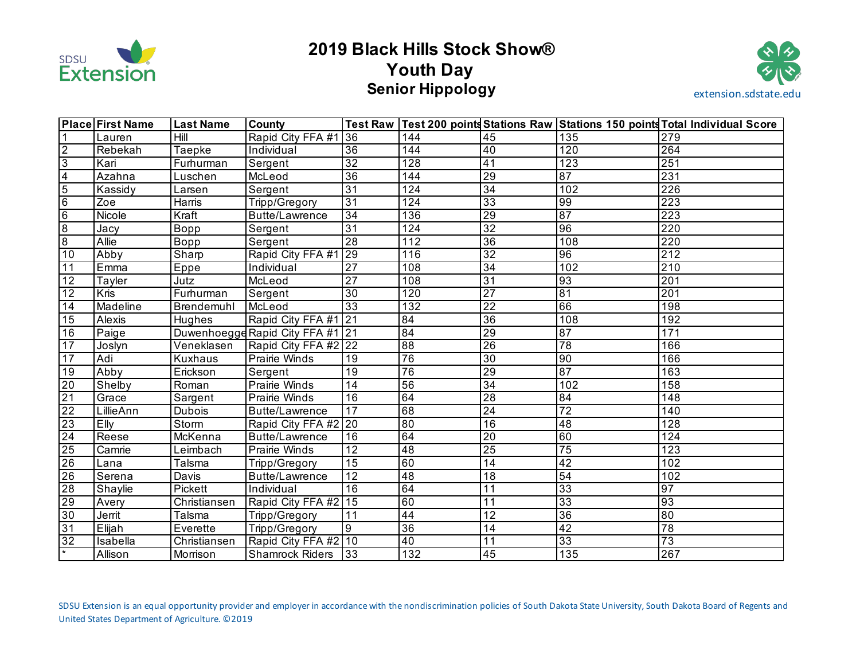

# **2019 Black Hills Stock Show® Youth Day Senior Hippology extension.sdstate.edu**



|                          | <b>Place First Name</b> | <b>Last Name</b> | <b>County</b>                    |                 |                 |                 |                 | Test Raw Test 200 points Stations Raw Stations 150 points Total Individual Score |
|--------------------------|-------------------------|------------------|----------------------------------|-----------------|-----------------|-----------------|-----------------|----------------------------------------------------------------------------------|
| $\mathbf 1$              | Lauren                  | Hill             | Rapid City FFA #1 36             |                 | 144             | 45              | 135             | 279                                                                              |
| $\overline{2}$           | Rebekah                 | Taepke           | Individual                       | 36              | 144             | 40              | 120             | 264                                                                              |
| $\overline{3}$           | Kari                    | Furhurman        | Sergent                          | $\overline{32}$ | 128             | $\overline{41}$ | 123             | 251                                                                              |
| $\overline{4}$           | Azahna                  | Luschen          | McLeod                           | 36              | 144             | 29              | 87              | 231                                                                              |
| $\overline{5}$           | Kassidy                 | Larsen           | Sergent                          | $\overline{31}$ | 124             | $\overline{34}$ | 102             | $\overline{226}$                                                                 |
| $6\overline{6}$          | Zoe                     | Harris           | Tripp/Gregory                    | $\overline{31}$ | 124             | $\overline{33}$ | $\overline{99}$ | $\overline{223}$                                                                 |
| 6                        | Nicole                  | Kraft            | <b>Butte/Lawrence</b>            | $\overline{34}$ | 136             | $\overline{29}$ | $\overline{87}$ | 223                                                                              |
| $\infty$                 | Jacy                    | Bopp             | Sergent                          | $\overline{31}$ | 124             | $\overline{32}$ | $\overline{96}$ | 220                                                                              |
| $\overline{8}$           | Allie                   | Bopp             | Sergent                          | $\overline{28}$ | 112             | $\overline{36}$ | 108             | 220                                                                              |
| 10                       | Abby                    | Sharp            | Rapid City FFA #1 29             |                 | 116             | $\overline{32}$ | 96              | $\overline{212}$                                                                 |
| 11                       | Emma                    | Eppe             | Individual                       | $\overline{27}$ | 108             | 34              | 102             | $\overline{210}$                                                                 |
| 12                       | Tayler                  | Jutz             | McLeod                           | $\overline{27}$ | 108             | $\overline{31}$ | 93              | 201                                                                              |
| 12                       | Kris                    | Furhurman        | Sergent                          | 30              | 120             | $\overline{27}$ | $\overline{81}$ | 201                                                                              |
| 14                       | Madeline                | Brendemuhl       | McLeod                           | $\overline{33}$ | 132             | $\overline{22}$ | 66              | 198                                                                              |
| 15                       | Alexis                  | Hughes           | Rapid City FFA #1 21             |                 | 84              | $\overline{36}$ | 108             | 192                                                                              |
| 16                       | Paige                   |                  | Duwenhoegge Rapid City FFA #1 21 |                 | 84              | $\overline{29}$ | $\overline{87}$ | 171                                                                              |
| 17                       | Joslyn                  | Veneklasen       | Rapid City FFA #2 22             |                 | 88              | $\overline{26}$ | $\overline{78}$ | 166                                                                              |
| $\overline{17}$          | Adi                     | Kuxhaus          | <b>Prairie Winds</b>             | $\overline{19}$ | 76              | $\overline{30}$ | $\overline{90}$ | 166                                                                              |
| $\overline{19}$          | Abby                    | Erickson         | Sergent                          | 19              | 76              | 29              | 87              | 163                                                                              |
| 20                       | Shelby                  | Roman            | <b>Prairie Winds</b>             | 14              | 56              | $\overline{34}$ | 102             | 158                                                                              |
| 21                       | Grace                   | Sargent          | Prairie Winds                    | $\overline{16}$ | 64              | $\overline{28}$ | $\overline{84}$ | 148                                                                              |
| 22                       | LillieAnn               | <b>Dubois</b>    | Butte/Lawrence                   | 17              | 68              | $\overline{24}$ | $\overline{72}$ | 140                                                                              |
| 23                       | Elly                    | Storm            | Rapid City FFA #2 20             |                 | 80              | 16              | 48              | 128                                                                              |
| 24                       | Reese                   | McKenna          | Butte/Lawrence                   | $\overline{16}$ | 64              | $\overline{20}$ | 60              | 124                                                                              |
| 25                       | Camrie                  | Leimbach         | Prairie Winds                    | $\overline{12}$ | 48              | $\overline{25}$ | 75              | 123                                                                              |
| 26                       | Lana                    | Talsma           | Tripp/Gregory                    | $\overline{15}$ | 60              | 14              | 42              | 102                                                                              |
| 26                       | Serena                  | Davis            | <b>Butte/Lawrence</b>            | 12              | $\overline{48}$ | 18              | $\overline{54}$ | 102                                                                              |
| <b>28</b>                | Shaylie                 | Pickett          | Individual                       | 16              | 64              | 11              | 33              | 97                                                                               |
| 29                       | Avery                   | Christiansen     | Rapid City FFA #2 15             |                 | 60              | $\overline{11}$ | $\overline{33}$ | 93                                                                               |
| 30                       | Jerrit                  | Talsma           | Tripp/Gregory                    | 11              | 44              | 12              | $\overline{36}$ | 80                                                                               |
| 31                       | Elijah                  | Everette         | Tripp/Gregory                    | 9               | 36              | 14              | $\overline{42}$ | 78                                                                               |
| $\overline{32}$          | Isabella                | Christiansen     | Rapid City FFA #2 10             |                 | $\overline{40}$ | 11              | 33              | 73                                                                               |
| $\overline{\phantom{a}}$ | Allison                 | Morrison         | Shamrock Riders   33             |                 | 132             | $\overline{45}$ | 135             | $\overline{267}$                                                                 |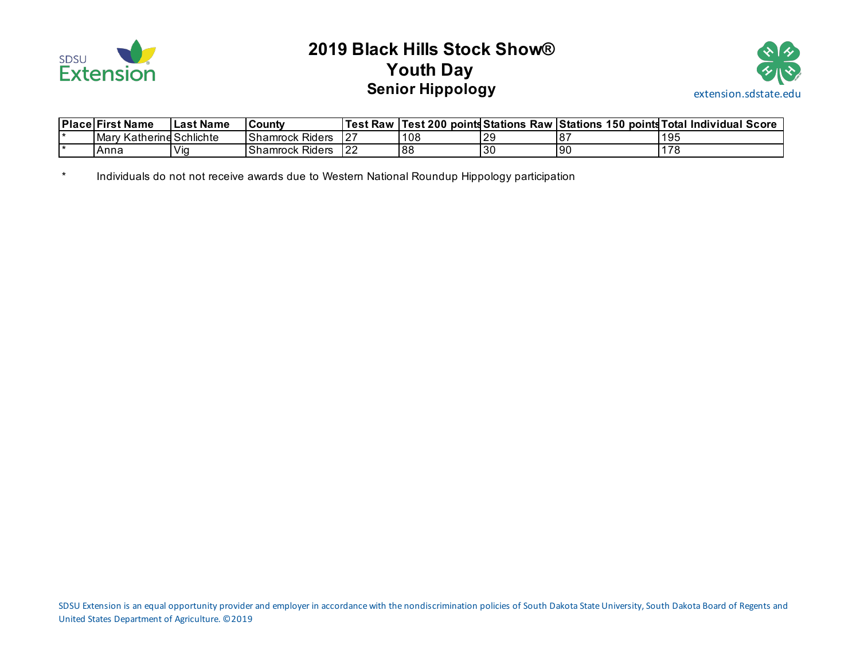

# **2019 Black Hills Stock Show® Youth Day Senior Hippology extension.sdstate.edu**



| Place First Name            | l Last Name | <b>County</b>          | Test Raw   Test 200 µ |     | points Stations |    | Raw Stations 150 points Total Individual Score |
|-----------------------------|-------------|------------------------|-----------------------|-----|-----------------|----|------------------------------------------------|
| Katherine Schlichte<br>Marv |             | <b>Shamrock Riders</b> | $12-$                 | 108 | l29             |    | 195                                            |
| Anna                        | 'Vio        | <b>Shamrock Riders</b> | l 22                  | 188 | l3C             | 90 | 170<br>1 O                                     |

\* Individuals do not not receive awards due to Western National Roundup Hippology participation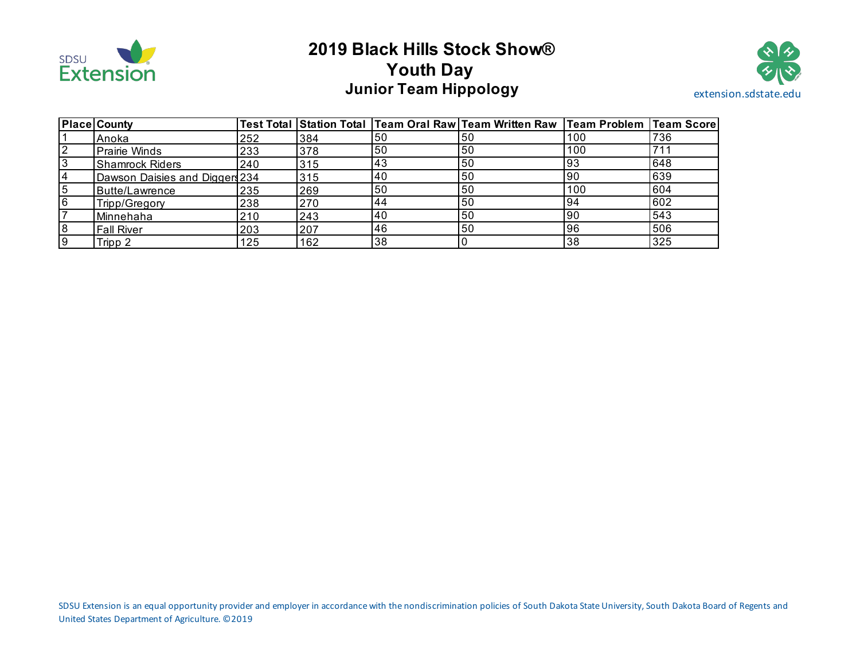

# **2019 Black Hills Stock Show® Youth Day Junior Team Hippology Extension.sdstate.edu**



|    | <b>Place County</b>            |     |     |    | Test Total Station Total Team Oral Raw Team Written Raw Team Problem Team Score |           |     |
|----|--------------------------------|-----|-----|----|---------------------------------------------------------------------------------|-----------|-----|
|    | Anoka                          | 252 | 384 | 50 | 50                                                                              | 100       | 736 |
|    | <b>Prairie Winds</b>           | 233 | 378 | 50 | 50                                                                              | 100       | 711 |
|    | <b>Shamrock Riders</b>         | 240 | 315 | 43 | 50                                                                              | 93        | 648 |
|    | Dawson Daisies and Diggers 234 |     | 315 | 40 | 50                                                                              | <b>90</b> | 639 |
| 5  | Butte/Lawrence                 | 235 | 269 | 50 | 50                                                                              | 100       | 604 |
| 6  | Tripp/Gregory                  | 238 | 270 | 44 | 50                                                                              | 94        | 602 |
|    | Minnehaha                      | 210 | 243 | 40 | 50                                                                              | 90        | 543 |
| 8  | <b>Fall River</b>              | 203 | 207 | 46 | 50                                                                              | 96        | 506 |
| -9 | Tripp 2                        | 125 | 162 | 38 |                                                                                 | 38        | 325 |